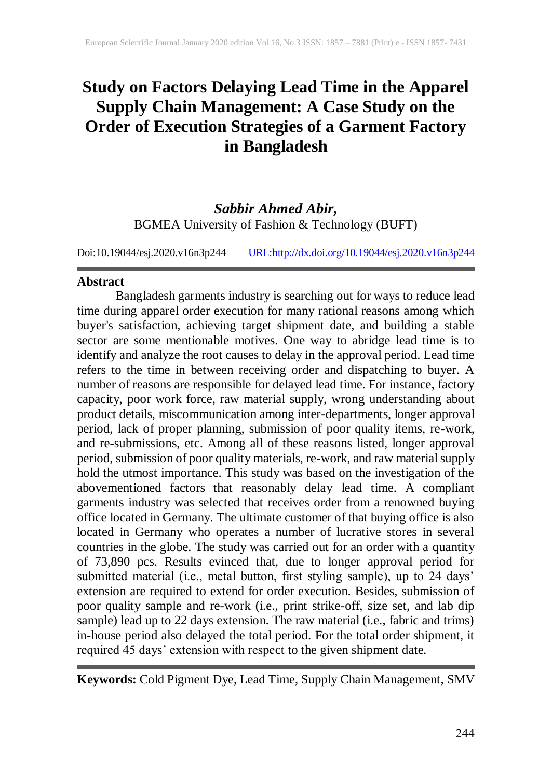# **Study on Factors Delaying Lead Time in the Apparel Supply Chain Management: A Case Study on the Order of Execution Strategies of a Garment Factory in Bangladesh**

*Sabbir Ahmed Abir,* BGMEA University of Fashion & Technology (BUFT)

Doi:10.19044/esj.2020.v16n3p244 [URL:http://dx.doi.org/10.19044/esj.2020.v16n3p244](http://dx.doi.org/10.19044/esj.2020.v16n3p244)

### **Abstract**

Bangladesh garments industry is searching out for ways to reduce lead time during apparel order execution for many rational reasons among which buyer's satisfaction, achieving target shipment date, and building a stable sector are some mentionable motives. One way to abridge lead time is to identify and analyze the root causes to delay in the approval period. Lead time refers to the time in between receiving order and dispatching to buyer. A number of reasons are responsible for delayed lead time. For instance, factory capacity, poor work force, raw material supply, wrong understanding about product details, miscommunication among inter-departments, longer approval period, lack of proper planning, submission of poor quality items, re-work, and re-submissions, etc. Among all of these reasons listed, longer approval period, submission of poor quality materials, re-work, and raw material supply hold the utmost importance. This study was based on the investigation of the abovementioned factors that reasonably delay lead time. A compliant garments industry was selected that receives order from a renowned buying office located in Germany. The ultimate customer of that buying office is also located in Germany who operates a number of lucrative stores in several countries in the globe. The study was carried out for an order with a quantity of 73,890 pcs. Results evinced that, due to longer approval period for submitted material (i.e., metal button, first styling sample), up to 24 days' extension are required to extend for order execution. Besides, submission of poor quality sample and re-work (i.e., print strike-off, size set, and lab dip sample) lead up to 22 days extension. The raw material (i.e., fabric and trims) in-house period also delayed the total period. For the total order shipment, it required 45 days' extension with respect to the given shipment date.

**Keywords:** Cold Pigment Dye, Lead Time, Supply Chain Management, SMV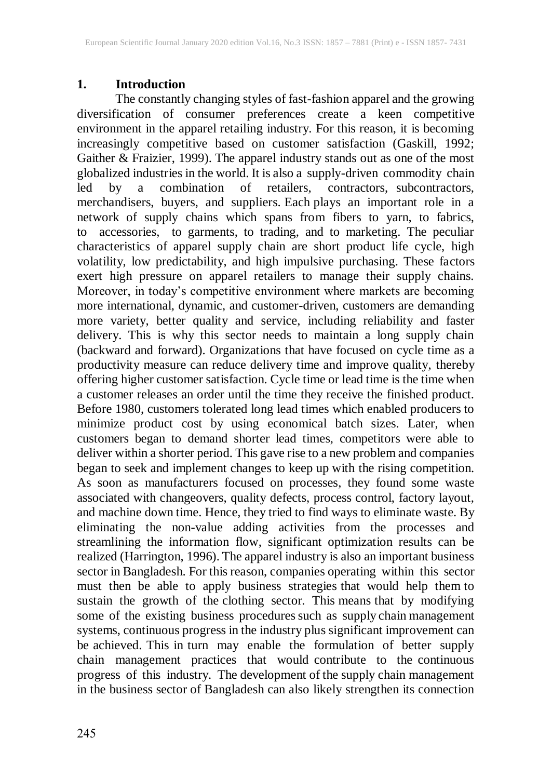### **1. Introduction**

The constantly changing styles of fast-fashion apparel and the growing diversification of consumer preferences create a keen competitive environment in the apparel retailing industry. For this reason, it is becoming increasingly competitive based on customer satisfaction (Gaskill, 1992; Gaither & Fraizier, 1999). The apparel industry stands out as one of the most globalized industries in the world. It is also a supply-driven commodity chain<br>led by a combination of retailers, contractors, subcontractors, led by a combination of retailers, contractors, subcontractors, merchandisers, buyers, and suppliers. Each plays an important role in a network of supply chains which spans from fibers to yarn, to fabrics, to accessories, to garments, to trading, and to marketing. The peculiar characteristics of apparel supply chain are short product life cycle, high volatility, low predictability, and high impulsive purchasing. These factors exert high pressure on apparel retailers to manage their supply chains. Moreover, in today's competitive environment where markets are becoming more international, dynamic, and customer-driven, customers are demanding more variety, better quality and service, including reliability and faster delivery. This is why this sector needs to maintain a long supply chain (backward and forward). Organizations that have focused on cycle time as a productivity measure can reduce delivery time and improve quality, thereby offering higher customer satisfaction. Cycle time or lead time is the time when a customer releases an order until the time they receive the finished product. Before 1980, customers tolerated long lead times which enabled producers to minimize product cost by using economical batch sizes. Later, when customers began to demand shorter lead times, competitors were able to deliver within a shorter period. This gave rise to a new problem and companies began to seek and implement changes to keep up with the rising competition. As soon as manufacturers focused on processes, they found some waste associated with changeovers, quality defects, process control, factory layout, and machine down time. Hence, they tried to find ways to eliminate waste. By eliminating the non-value adding activities from the processes and streamlining the information flow, significant optimization results can be realized (Harrington, 1996). The apparel industry is also an important business sector in Bangladesh. For this reason, companies operating within this sector must then be able to apply business strategies that would help them to sustain the growth of the clothing sector. This means that by modifying some of the existing business procedures such as supply chain management systems, continuous progress in the industry plus significant improvement can be achieved. This in turn may enable the formulation of better supply chain management practices that would contribute to the continuous progress of this industry. The development of the supply chain management in the business sector of Bangladesh can also likely strengthen its connection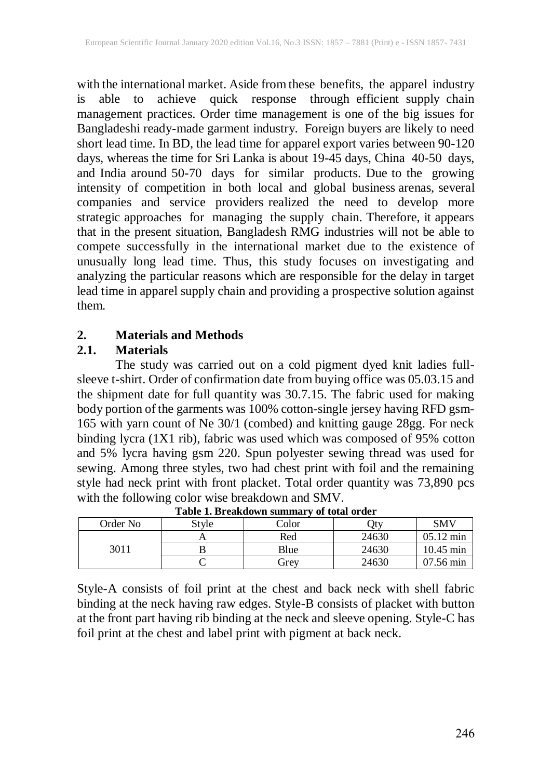with the international market. Aside from these benefits, the apparel industry is able to achieve quick response through efficient supply chain management practices. Order time management is one of the big issues for Bangladeshi ready-made garment industry. Foreign buyers are likely to need short lead time. In BD, the lead time for apparel export varies between 90-120 days, whereas the time for Sri Lanka is about 19-45 days, China 40-50 days, and India around 50-70 days for similar products. Due to the growing intensity of competition in both local and global business arenas, several companies and service providers realized the need to develop more strategic approaches for managing the supply chain. Therefore, it appears that in the present situation, Bangladesh RMG industries will not be able to compete successfully in the international market due to the existence of unusually long lead time. Thus, this study focuses on investigating and analyzing the particular reasons which are responsible for the delay in target lead time in apparel supply chain and providing a prospective solution against them.

### **2. Materials and Methods**

### **2.1. Materials**

The study was carried out on a cold pigment dyed knit ladies fullsleeve t-shirt. Order of confirmation date from buying office was 05.03.15 and the shipment date for full quantity was 30.7.15. The fabric used for making body portion of the garments was 100% cotton-single jersey having RFD gsm-165 with yarn count of Ne 30/1 (combed) and knitting gauge 28gg. For neck binding lycra (1X1 rib), fabric was used which was composed of 95% cotton and 5% lycra having gsm 220. Spun polyester sewing thread was used for sewing. Among three styles, two had chest print with foil and the remaining style had neck print with front placket. Total order quantity was 73,890 pcs with the following color wise breakdown and SMV.

| Table 1. Di canuowii summai y of total of uci |       |                  |       |                     |  |  |  |  |  |  |  |  |  |
|-----------------------------------------------|-------|------------------|-------|---------------------|--|--|--|--|--|--|--|--|--|
| Order No                                      | Stvle | $\mathrm{Color}$ | )ty   | SMV                 |  |  |  |  |  |  |  |  |  |
| 3011                                          |       | Red              | 24630 | $05.12 \text{ min}$ |  |  |  |  |  |  |  |  |  |
|                                               |       | Blue             | 24630 | $10.45$ min         |  |  |  |  |  |  |  |  |  |
|                                               |       | Grev             | 24630 | $07.56 \text{ min}$ |  |  |  |  |  |  |  |  |  |

| Table 1. Breakdown summary of total order |  |
|-------------------------------------------|--|
|-------------------------------------------|--|

Style-A consists of foil print at the chest and back neck with shell fabric binding at the neck having raw edges. Style-B consists of placket with button at the front part having rib binding at the neck and sleeve opening. Style-C has foil print at the chest and label print with pigment at back neck.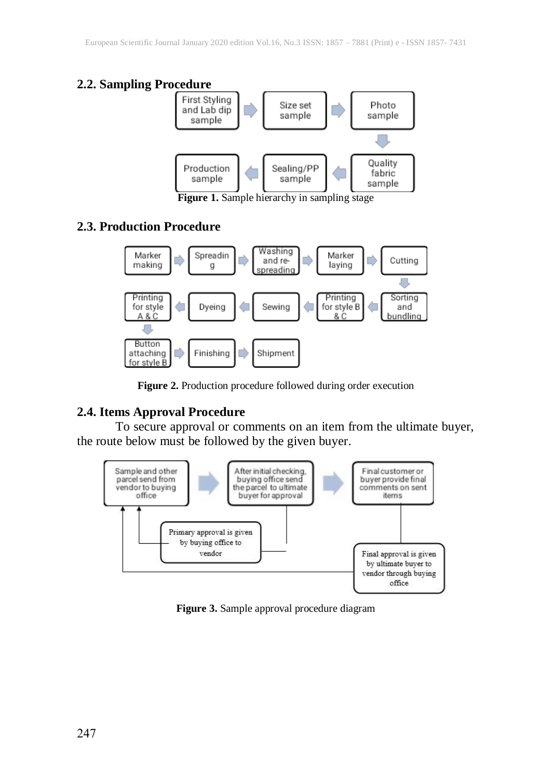# **2.2. Sampling Procedure**



**Figure 1.** Sample hierarchy in sampling stage

### **2.3. Production Procedure**



**Figure 2.** Production procedure followed during order execution

# **2.4. Items Approval Procedure**

To secure approval or comments on an item from the ultimate buyer, the route below must be followed by the given buyer.



**Figure 3.** Sample approval procedure diagram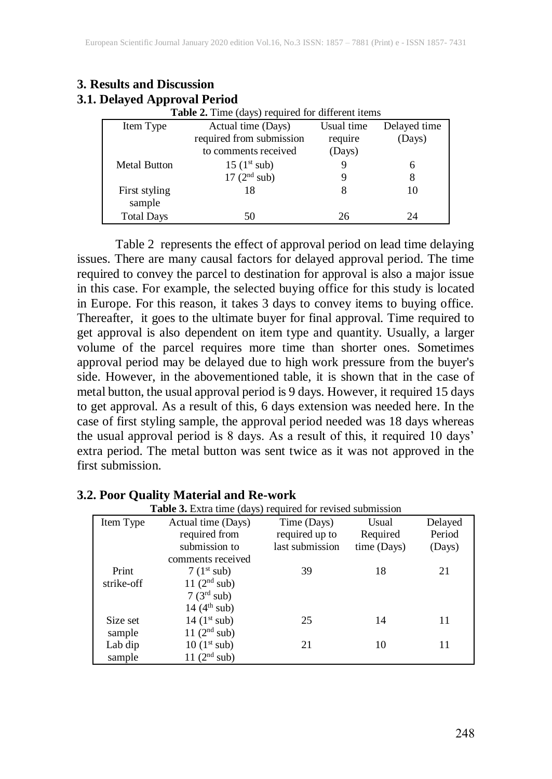| <b>Table 2.</b> Time (days) required for different items |                          |            |              |  |  |  |  |  |  |  |  |
|----------------------------------------------------------|--------------------------|------------|--------------|--|--|--|--|--|--|--|--|
| Item Type                                                | Actual time (Days)       | Usual time | Delayed time |  |  |  |  |  |  |  |  |
|                                                          | required from submission | require    | (Days)       |  |  |  |  |  |  |  |  |
|                                                          | to comments received     | (Days)     |              |  |  |  |  |  |  |  |  |
| <b>Metal Button</b>                                      | $15 (1^{st} sub)$        |            | 6            |  |  |  |  |  |  |  |  |
|                                                          | 17(2 <sup>nd</sup> sub)  |            | 8            |  |  |  |  |  |  |  |  |
| First styling<br>sample                                  | 18                       | 8          | 10           |  |  |  |  |  |  |  |  |
| <b>Total Days</b>                                        | 50                       | 26         | 24           |  |  |  |  |  |  |  |  |

### **3. Results and Discussion 3.1. Delayed Approval Period**

Table 2 represents the effect of approval period on lead time delaying issues. There are many causal factors for delayed approval period. The time required to convey the parcel to destination for approval is also a major issue in this case. For example, the selected buying office for this study is located in Europe. For this reason, it takes 3 days to convey items to buying office. Thereafter, it goes to the ultimate buyer for final approval. Time required to get approval is also dependent on item type and quantity. Usually, a larger volume of the parcel requires more time than shorter ones. Sometimes approval period may be delayed due to high work pressure from the buyer's side. However, in the abovementioned table, it is shown that in the case of metal button, the usual approval period is 9 days. However, it required 15 days to get approval. As a result of this, 6 days extension was needed here. In the case of first styling sample, the approval period needed was 18 days whereas the usual approval period is 8 days. As a result of this, it required 10 days' extra period. The metal button was sent twice as it was not approved in the first submission.

#### Item Type Actual time (Days) required from submission to comments received Time (Days) required up to last submission Usual Required time (Days) Delayed Period (Days) Print strike-off 7 (1<sup>st</sup> sub) 39 18 21 11  $(2<sup>nd</sup> sub)$  $7(3<sup>rd</sup> sub)$

### **3.2. Poor Quality Material and Re-work**

Size set sample

Lab dip sample

 $14(4^{\text{th}} \text{ sub})$ 

 $11$  ( $2<sup>nd</sup> sub$ )

 $11$   $(2<sup>nd</sup> sub)$ 

**Table 3.** Extra time (days) required for revised submission

14 (1<sup>st</sup> sub) 25 14 11

 $10(1^{st} \text{ sub})$  21 10 11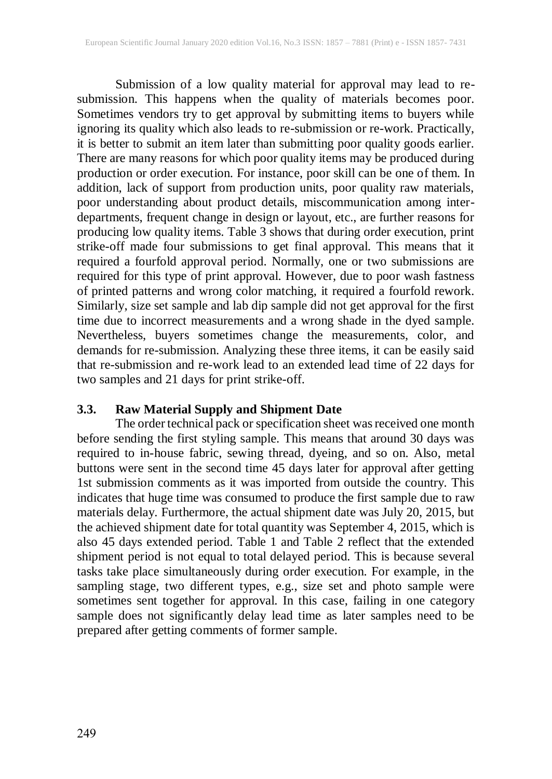Submission of a low quality material for approval may lead to resubmission. This happens when the quality of materials becomes poor. Sometimes vendors try to get approval by submitting items to buyers while ignoring its quality which also leads to re-submission or re-work. Practically, it is better to submit an item later than submitting poor quality goods earlier. There are many reasons for which poor quality items may be produced during production or order execution. For instance, poor skill can be one of them. In addition, lack of support from production units, poor quality raw materials, poor understanding about product details, miscommunication among interdepartments, frequent change in design or layout, etc., are further reasons for producing low quality items. Table 3 shows that during order execution, print strike-off made four submissions to get final approval. This means that it required a fourfold approval period. Normally, one or two submissions are required for this type of print approval. However, due to poor wash fastness of printed patterns and wrong color matching, it required a fourfold rework. Similarly, size set sample and lab dip sample did not get approval for the first time due to incorrect measurements and a wrong shade in the dyed sample. Nevertheless, buyers sometimes change the measurements, color, and demands for re-submission. Analyzing these three items, it can be easily said that re-submission and re-work lead to an extended lead time of 22 days for two samples and 21 days for print strike-off.

### **3.3. Raw Material Supply and Shipment Date**

The order technical pack or specification sheet was received one month before sending the first styling sample. This means that around 30 days was required to in-house fabric, sewing thread, dyeing, and so on. Also, metal buttons were sent in the second time 45 days later for approval after getting 1st submission comments as it was imported from outside the country. This indicates that huge time was consumed to produce the first sample due to raw materials delay. Furthermore, the actual shipment date was July 20, 2015, but the achieved shipment date for total quantity was September 4, 2015, which is also 45 days extended period. Table 1 and Table 2 reflect that the extended shipment period is not equal to total delayed period. This is because several tasks take place simultaneously during order execution. For example, in the sampling stage, two different types, e.g., size set and photo sample were sometimes sent together for approval. In this case, failing in one category sample does not significantly delay lead time as later samples need to be prepared after getting comments of former sample.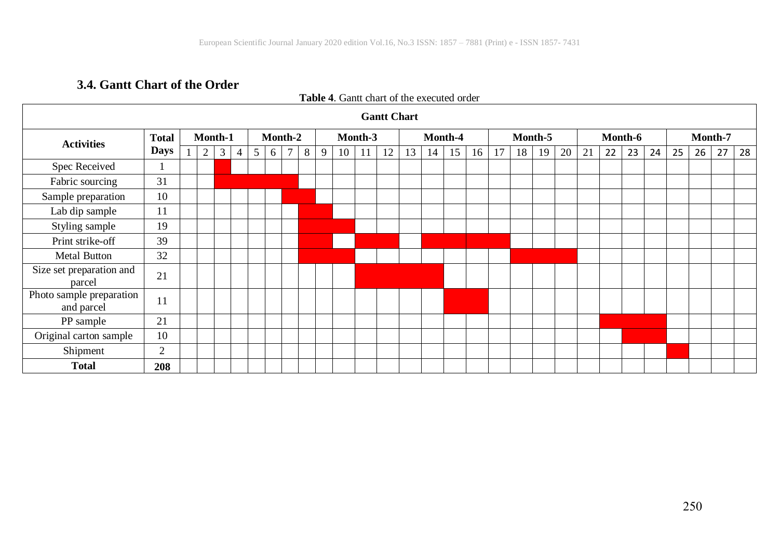# **3.4. Gantt Chart of the Order**

| <b>Gantt Chart</b>                     |              |  |                |   |                |         |   |        |         |   |    |    |         |    |    |    |         |    |    |    |         |    |    |    |         |    |    |    |    |
|----------------------------------------|--------------|--|----------------|---|----------------|---------|---|--------|---------|---|----|----|---------|----|----|----|---------|----|----|----|---------|----|----|----|---------|----|----|----|----|
| <b>Activities</b>                      | <b>Total</b> |  | Month-1        |   |                | Month-2 |   |        | Month-3 |   |    |    | Month-4 |    |    |    | Month-5 |    |    |    | Month-6 |    |    |    | Month-7 |    |    |    |    |
|                                        | <b>Days</b>  |  | $\overline{2}$ | 3 | $\overline{4}$ | 5       | 6 | $\tau$ | 8       | 9 | 10 | 11 | 12      | 13 | 14 | 15 | 16      | 17 | 18 | 19 | 20      | 21 | 22 | 23 | 24      | 25 | 26 | 27 | 28 |
| Spec Received                          |              |  |                |   |                |         |   |        |         |   |    |    |         |    |    |    |         |    |    |    |         |    |    |    |         |    |    |    |    |
| Fabric sourcing                        | 31           |  |                |   |                |         |   |        |         |   |    |    |         |    |    |    |         |    |    |    |         |    |    |    |         |    |    |    |    |
| Sample preparation                     | 10           |  |                |   |                |         |   |        |         |   |    |    |         |    |    |    |         |    |    |    |         |    |    |    |         |    |    |    |    |
| Lab dip sample                         | 11           |  |                |   |                |         |   |        |         |   |    |    |         |    |    |    |         |    |    |    |         |    |    |    |         |    |    |    |    |
| Styling sample                         | 19           |  |                |   |                |         |   |        |         |   |    |    |         |    |    |    |         |    |    |    |         |    |    |    |         |    |    |    |    |
| Print strike-off                       | 39           |  |                |   |                |         |   |        |         |   |    |    |         |    |    |    |         |    |    |    |         |    |    |    |         |    |    |    |    |
| <b>Metal Button</b>                    | 32           |  |                |   |                |         |   |        |         |   |    |    |         |    |    |    |         |    |    |    |         |    |    |    |         |    |    |    |    |
| Size set preparation and<br>parcel     | 21           |  |                |   |                |         |   |        |         |   |    |    |         |    |    |    |         |    |    |    |         |    |    |    |         |    |    |    |    |
| Photo sample preparation<br>and parcel | 11           |  |                |   |                |         |   |        |         |   |    |    |         |    |    |    |         |    |    |    |         |    |    |    |         |    |    |    |    |
| PP sample                              | 21           |  |                |   |                |         |   |        |         |   |    |    |         |    |    |    |         |    |    |    |         |    |    |    |         |    |    |    |    |
| Original carton sample                 | 10           |  |                |   |                |         |   |        |         |   |    |    |         |    |    |    |         |    |    |    |         |    |    |    |         |    |    |    |    |
| Shipment                               | 2            |  |                |   |                |         |   |        |         |   |    |    |         |    |    |    |         |    |    |    |         |    |    |    |         |    |    |    |    |
| <b>Total</b>                           | 208          |  |                |   |                |         |   |        |         |   |    |    |         |    |    |    |         |    |    |    |         |    |    |    |         |    |    |    |    |

### **Table 4**. Gantt chart of the executed order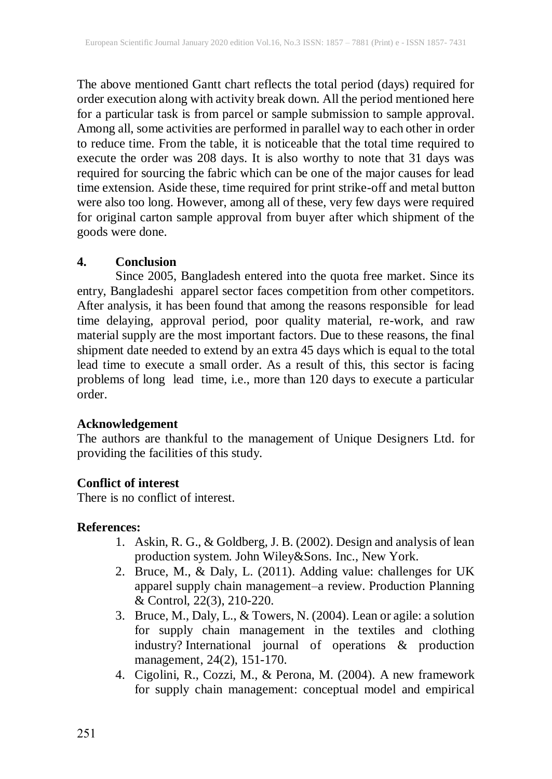The above mentioned Gantt chart reflects the total period (days) required for order execution along with activity break down. All the period mentioned here for a particular task is from parcel or sample submission to sample approval. Among all, some activities are performed in parallel way to each other in order to reduce time. From the table, it is noticeable that the total time required to execute the order was 208 days. It is also worthy to note that 31 days was required for sourcing the fabric which can be one of the major causes for lead time extension. Aside these, time required for print strike-off and metal button were also too long. However, among all of these, very few days were required for original carton sample approval from buyer after which shipment of the goods were done.

### **4. Conclusion**

Since 2005, Bangladesh entered into the quota free market. Since its entry, Bangladeshi apparel sector faces competition from other competitors. After analysis, it has been found that among the reasons responsible for lead time delaying, approval period, poor quality material, re-work, and raw material supply are the most important factors. Due to these reasons, the final shipment date needed to extend by an extra 45 days which is equal to the total lead time to execute a small order. As a result of this, this sector is facing problems of long lead time, i.e., more than 120 days to execute a particular order.

### **Acknowledgement**

The authors are thankful to the management of Unique Designers Ltd. for providing the facilities of this study.

# **Conflict of interest**

There is no conflict of interest.

# **References:**

- 1. Askin, R. G., & Goldberg, J. B. (2002). Design and analysis of lean production system. John Wiley&Sons. Inc., New York.
- 2. Bruce, M., & Daly, L. (2011). Adding value: challenges for UK apparel supply chain management–a review. Production Planning & Control, 22(3), 210-220.
- 3. Bruce, M., Daly, L., & Towers, N. (2004). Lean or agile: a solution for supply chain management in the textiles and clothing industry? International journal of operations & production management, 24(2), 151-170.
- 4. Cigolini, R., Cozzi, M., & Perona, M. (2004). A new framework for supply chain management: conceptual model and empirical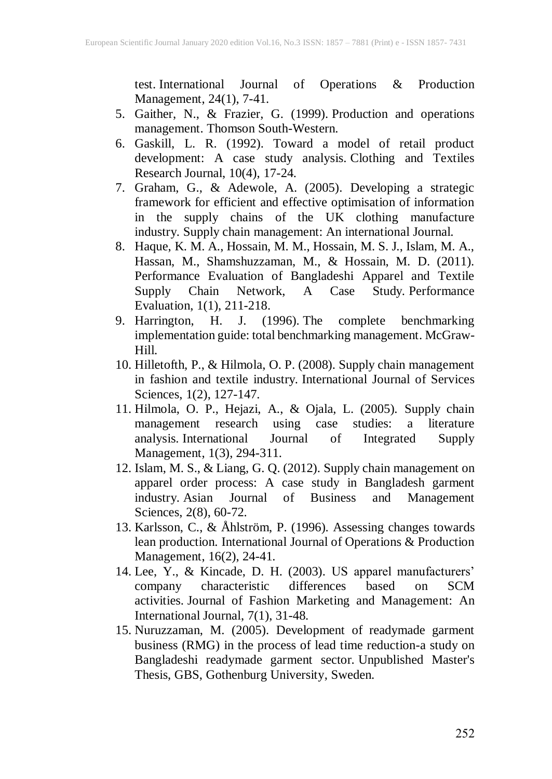test. International Journal of Operations & Production Management, 24(1), 7-41.

- 5. Gaither, N., & Frazier, G. (1999). Production and operations management. Thomson South-Western.
- 6. Gaskill, L. R. (1992). Toward a model of retail product development: A case study analysis. Clothing and Textiles Research Journal, 10(4), 17-24.
- 7. Graham, G., & Adewole, A. (2005). Developing a strategic framework for efficient and effective optimisation of information in the supply chains of the UK clothing manufacture industry. Supply chain management: An international Journal.
- 8. Haque, K. M. A., Hossain, M. M., Hossain, M. S. J., Islam, M. A., Hassan, M., Shamshuzzaman, M., & Hossain, M. D. (2011). Performance Evaluation of Bangladeshi Apparel and Textile<br>Supply Chain Network, A Case Study Performance Supply Chain Network, Evaluation, 1(1), 211-218.
- 9. Harrington, H. J. (1996). The complete benchmarking implementation guide: total benchmarking management. McGraw-Hill.
- 10. Hilletofth, P., & Hilmola, O. P. (2008). Supply chain management in fashion and textile industry. International Journal of Services Sciences, 1(2), 127-147.
- 11. Hilmola, O. P., Hejazi, A., & Ojala, L. (2005). Supply chain management research using case studies: a literature analysis. International Journal of Integrated Supply Management, 1(3), 294-311.
- 12. Islam, M. S., & Liang, G. Q. (2012). Supply chain management on apparel order process: A case study in Bangladesh garment industry. Asian Journal of Business and Management Sciences, 2(8), 60-72.
- 13. Karlsson, C., & Åhlström, P. (1996). Assessing changes towards lean production. International Journal of Operations & Production Management, 16(2), 24-41.
- 14. Lee, Y., & Kincade, D. H. (2003). US apparel manufacturers' company characteristic differences based on SCM company characteristic differences based on SCM activities. Journal of Fashion Marketing and Management: An International Journal, 7(1), 31-48.
- 15. Nuruzzaman, M. (2005). Development of readymade garment business (RMG) in the process of lead time reduction-a study on Bangladeshi readymade garment sector. Unpublished Master's Thesis, GBS, Gothenburg University, Sweden.